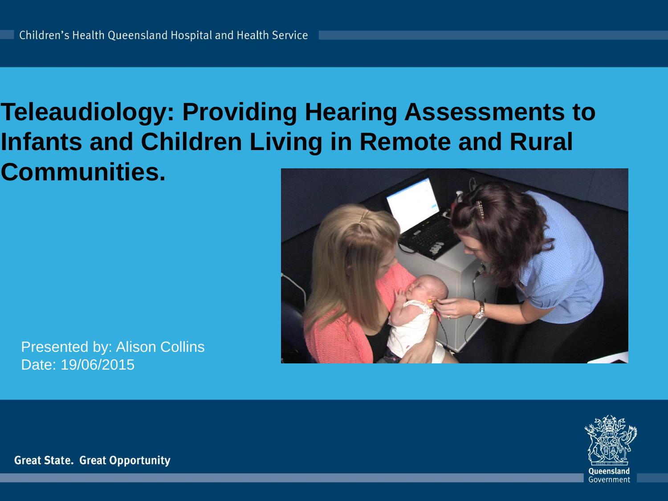### **Teleaudiology: Providing Hearing Assessments to Infants and Children Living in Remote and Rural Communities.**



Presented by: Alison Collins Date: 19/06/2015

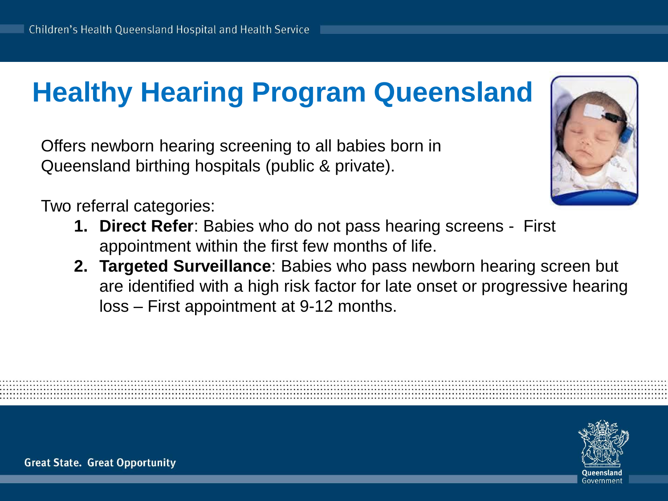# **Healthy Hearing Program Queensland**

Offers newborn hearing screening to all babies born in Queensland birthing hospitals (public & private).

Two referral categories:

- **1. Direct Refer**: Babies who do not pass hearing screens First appointment within the first few months of life.
- **2. Targeted Surveillance**: Babies who pass newborn hearing screen but are identified with a high risk factor for late onset or progressive hearing loss – First appointment at 9-12 months.



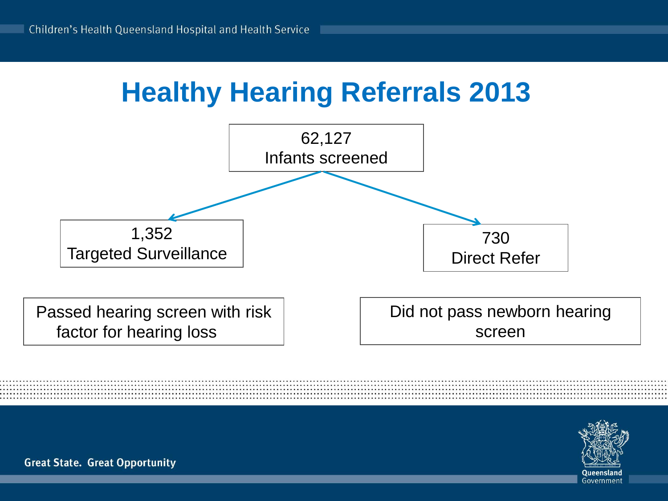# **Healthy Hearing Referrals 2013**



factor for hearing loss

Did not pass newborn hearing screen

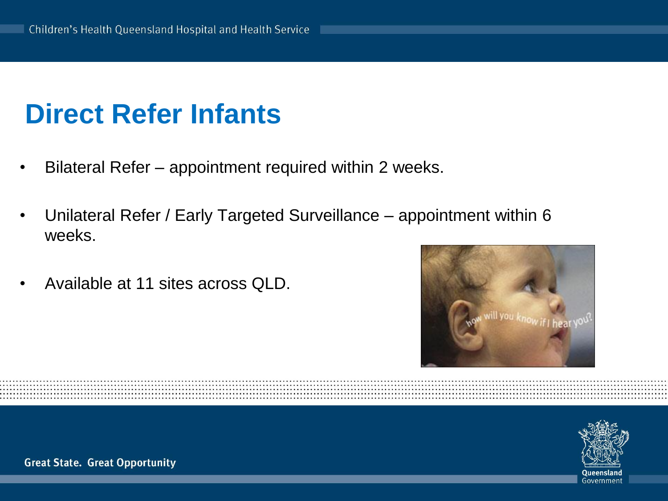# **Direct Refer Infants**

- Bilateral Refer appointment required within 2 weeks.
- Unilateral Refer / Early Targeted Surveillance appointment within 6 weeks.
- Available at 11 sites across QLD.



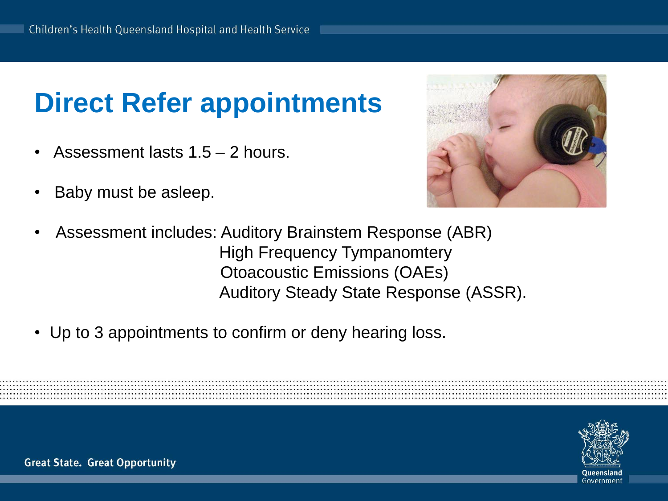# **Direct Refer appointments**

- Assessment lasts  $1.5 2$  hours.
- Baby must be asleep.



- Assessment includes: Auditory Brainstem Response (ABR) High Frequency Tympanomtery Otoacoustic Emissions (OAEs) Auditory Steady State Response (ASSR).
- Up to 3 appointments to confirm or deny hearing loss.

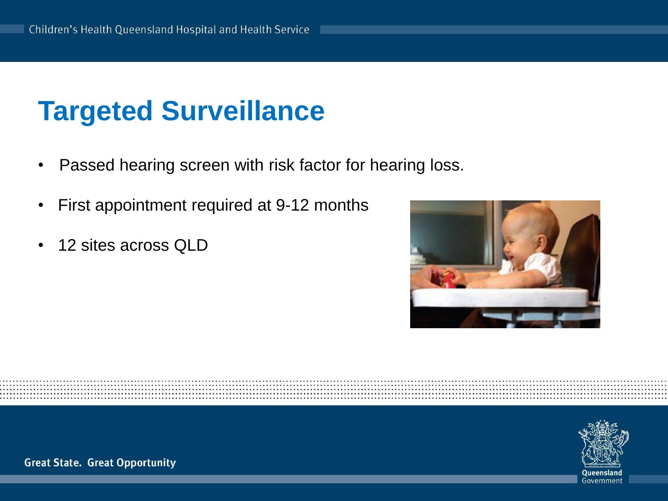# **Targeted Surveillance**

- Passed hearing screen with risk factor for hearing loss.
- First appointment required at 9-12 months
- 12 sites across QLD



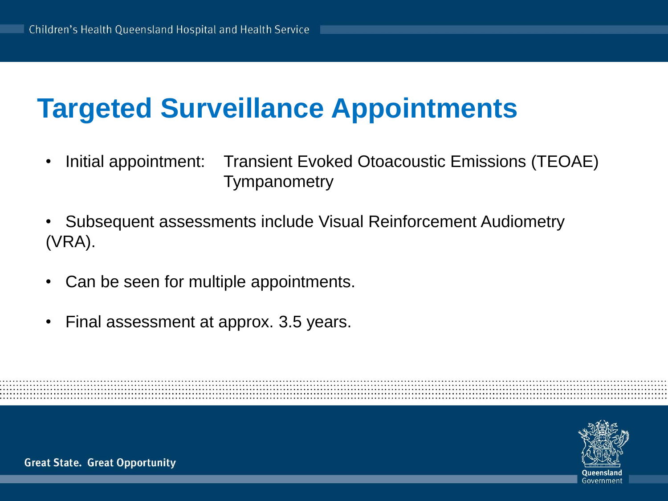## **Targeted Surveillance Appointments**

- Initial appointment: Transient Evoked Otoacoustic Emissions (TEOAE) **Tympanometry**
- Subsequent assessments include Visual Reinforcement Audiometry (VRA).
- Can be seen for multiple appointments.
- Final assessment at approx. 3.5 years.

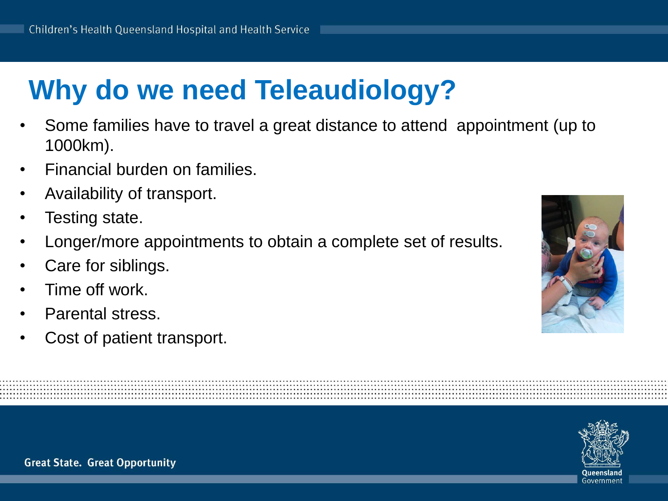# **Why do we need Teleaudiology?**

- Some families have to travel a great distance to attend appointment (up to 1000km).
- Financial burden on families.
- Availability of transport.
- Testing state.
- Longer/more appointments to obtain a complete set of results.
- Care for siblings.
- Time off work.
- Parental stress.
- Cost of patient transport.



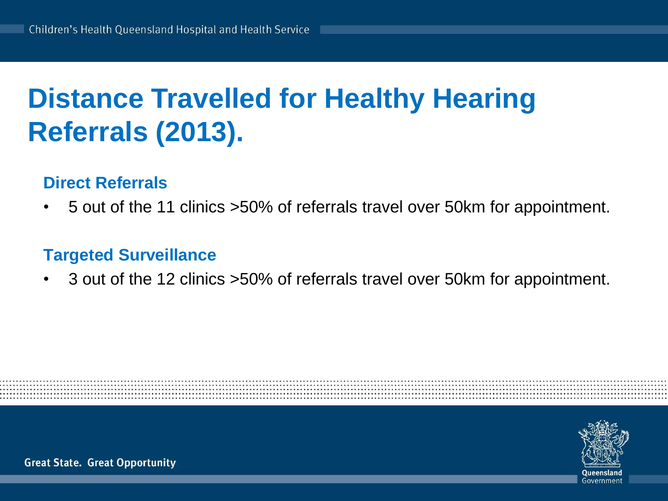# **Distance Travelled for Healthy Hearing Referrals (2013).**

### **Direct Referrals**

• 5 out of the 11 clinics >50% of referrals travel over 50km for appointment.

### **Targeted Surveillance**

• 3 out of the 12 clinics >50% of referrals travel over 50km for appointment.

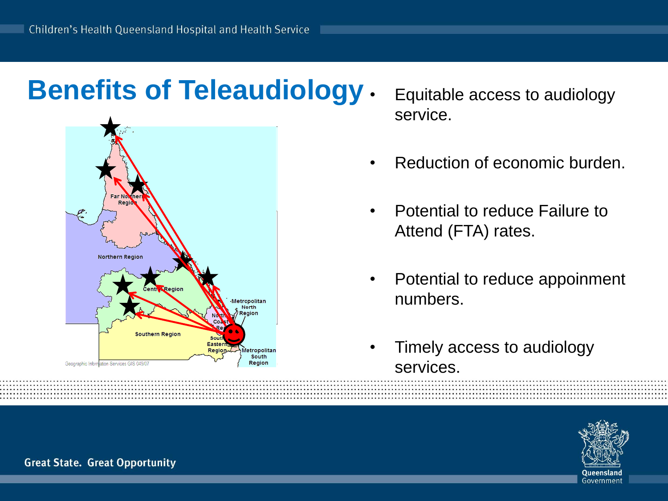### **Benefits of Teleaudiology** • Equitable access to audiology



- service.
- Reduction of economic burden.
- Potential to reduce Failure to Attend (FTA) rates.
- Potential to reduce appoinment numbers.
- Timely access to audiology services.

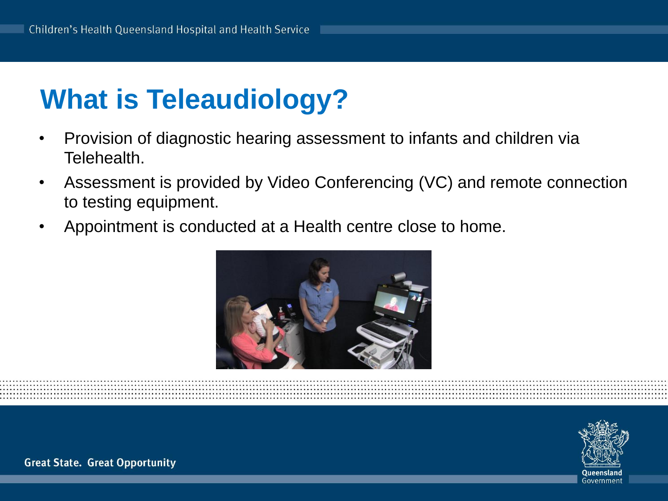# **What is Teleaudiology?**

- Provision of diagnostic hearing assessment to infants and children via Telehealth.
- Assessment is provided by Video Conferencing (VC) and remote connection to testing equipment.
- Appointment is conducted at a Health centre close to home.



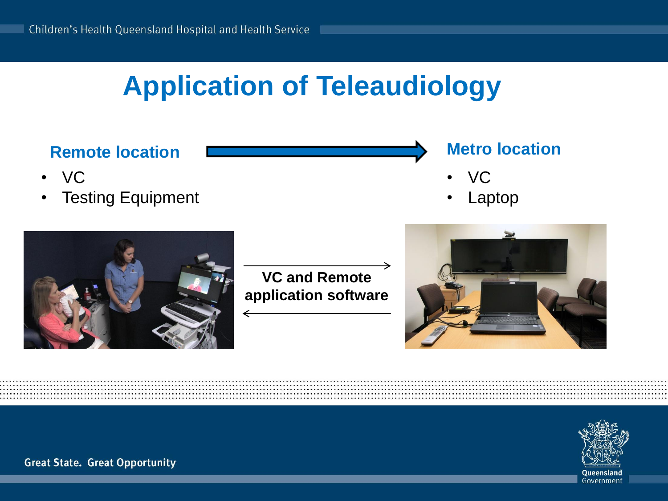# **Application of Teleaudiology**



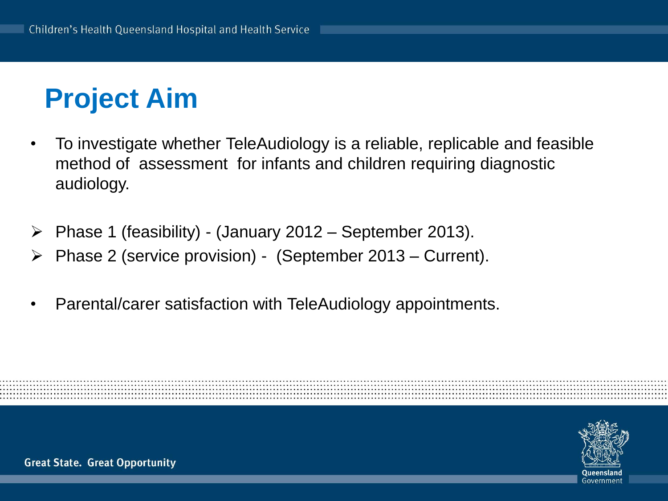# **Project Aim**

- To investigate whether TeleAudiology is a reliable, replicable and feasible method of assessment for infants and children requiring diagnostic audiology.
- $\triangleright$  Phase 1 (feasibility) (January 2012 September 2013).
- $\triangleright$  Phase 2 (service provision) (September 2013 Current).
- Parental/carer satisfaction with TeleAudiology appointments.

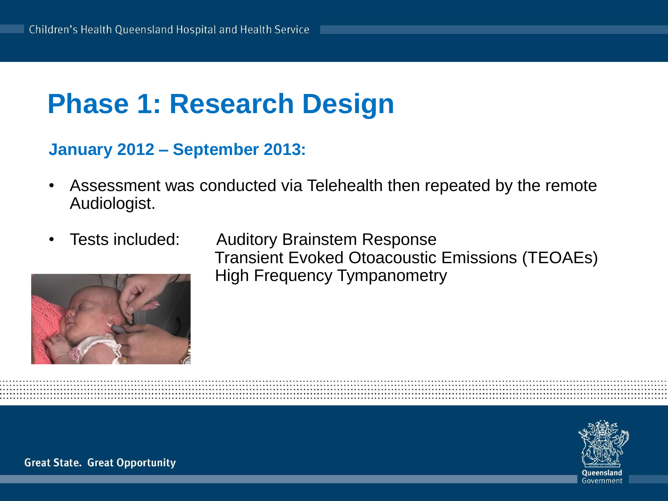### **Phase 1: Research Design**

### **January 2012 – September 2013:**

- Assessment was conducted via Telehealth then repeated by the remote Audiologist.
- 



• Tests included: Auditory Brainstem Response Transient Evoked Otoacoustic Emissions (TEOAEs) High Frequency Tympanometry

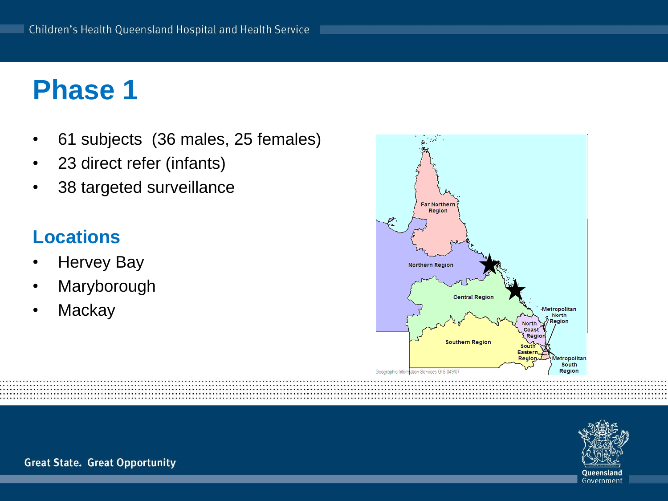### **Phase 1**

- 61 subjects (36 males, 25 females)
- 23 direct refer (infants)
- 38 targeted surveillance

### **Locations**

- **Hervey Bay**
- **Maryborough**
- **Mackay**





**Great State. Great Opportunity** 

Governmen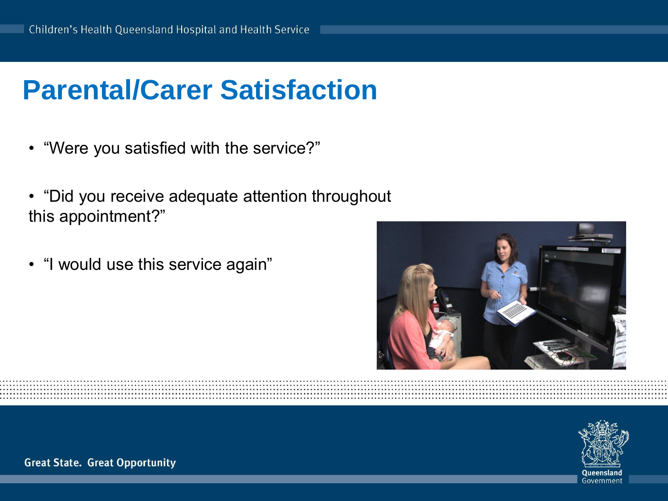## **Parental/Carer Satisfaction**

- "Were you satisfied with the service?"
- "Did you receive adequate attention throughout this appointment?"
- "I would use this service again"



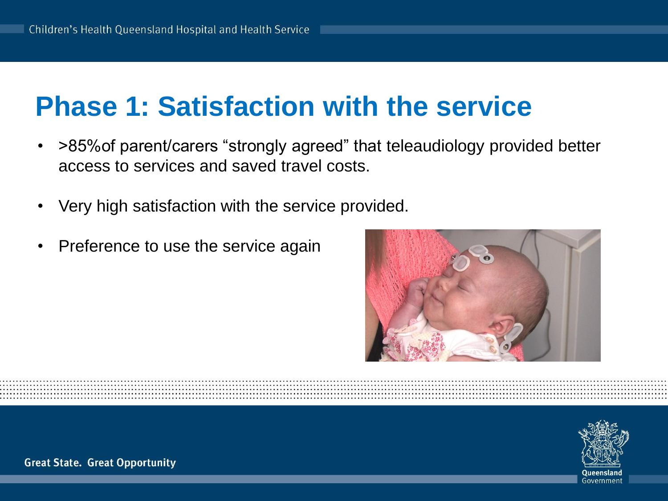### **Phase 1: Satisfaction with the service**

- >85%of parent/carers "strongly agreed" that teleaudiology provided better access to services and saved travel costs.
- Very high satisfaction with the service provided.
- Preference to use the service again



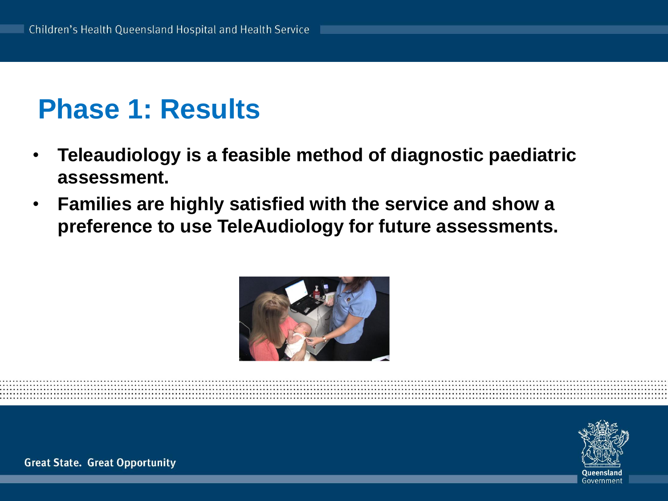### **Phase 1: Results**

- **Teleaudiology is a feasible method of diagnostic paediatric assessment.**
- **Families are highly satisfied with the service and show a preference to use TeleAudiology for future assessments.**



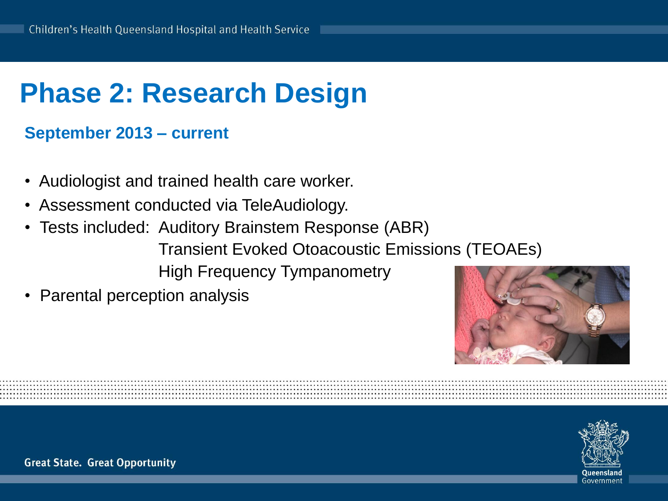# **Phase 2: Research Design**

### **September 2013 – current**

- Audiologist and trained health care worker.
- Assessment conducted via TeleAudiology.
- Tests included: Auditory Brainstem Response (ABR) Transient Evoked Otoacoustic Emissions (TEOAEs) High Frequency Tympanometry
- Parental perception analysis



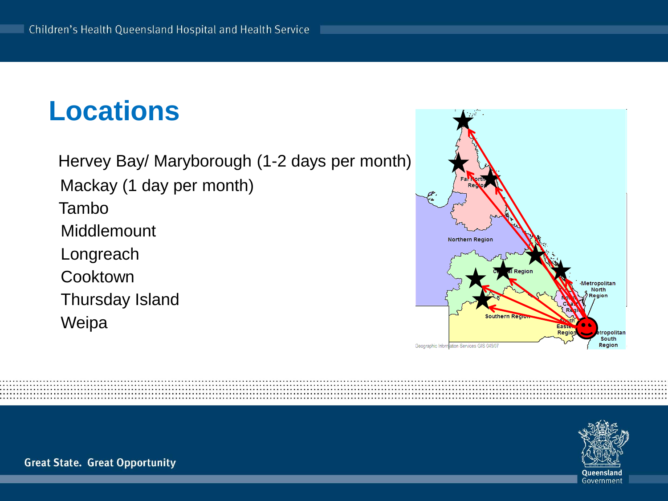## **Locations**

 Hervey Bay/ Maryborough (1-2 days per month) Mackay (1 day per month) Tambo **Middlemount**  Longreach **Cooktown**  Thursday Island Weipa



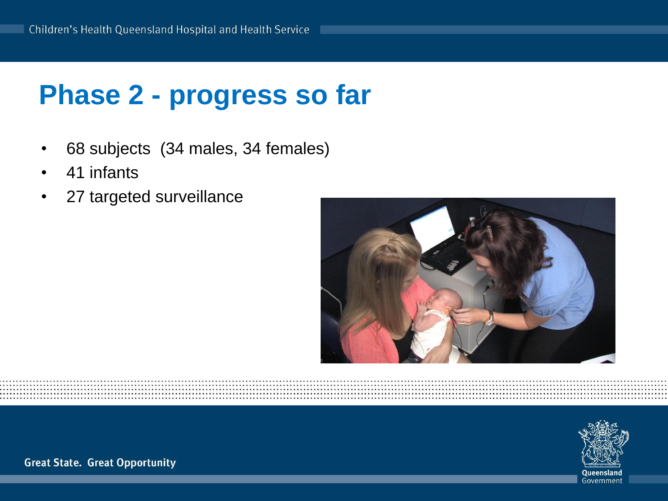## **Phase 2 - progress so far**

- 68 subjects (34 males, 34 females)
- 41 infants
- 27 targeted surveillance



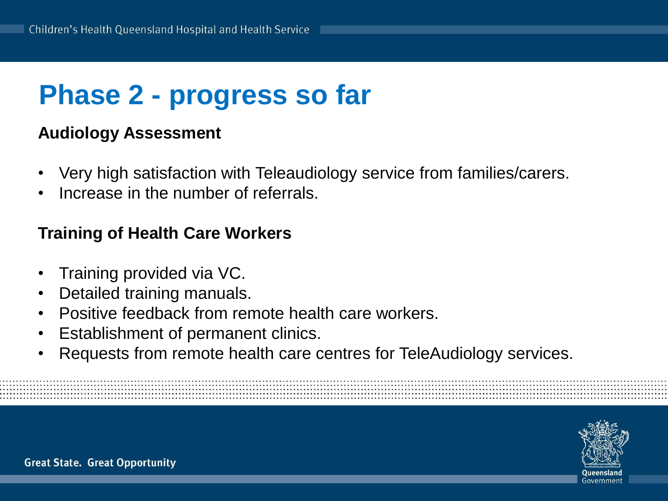# **Phase 2 - progress so far**

### **Audiology Assessment**

- Very high satisfaction with Teleaudiology service from families/carers.
- Increase in the number of referrals.

#### **Training of Health Care Workers**

- Training provided via VC.
- Detailed training manuals.
- Positive feedback from remote health care workers.
- Establishment of permanent clinics.
- Requests from remote health care centres for TeleAudiology services.

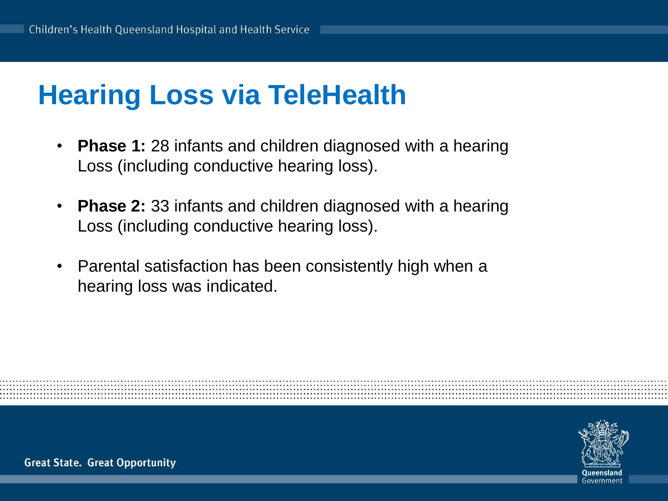# **Hearing Loss via TeleHealth**

- **Phase 1:** 28 infants and children diagnosed with a hearing Loss (including conductive hearing loss).
- **Phase 2:** 33 infants and children diagnosed with a hearing Loss (including conductive hearing loss).
- Parental satisfaction has been consistently high when a hearing loss was indicated.

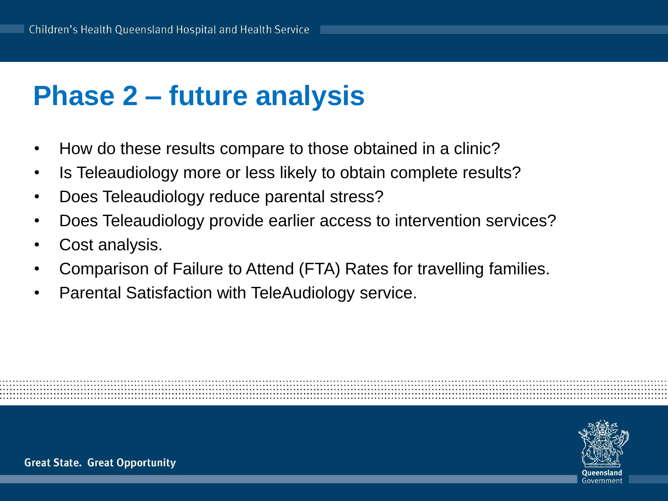## **Phase 2 – future analysis**

- How do these results compare to those obtained in a clinic?
- Is Teleaudiology more or less likely to obtain complete results?
- Does Teleaudiology reduce parental stress?
- Does Teleaudiology provide earlier access to intervention services?
- Cost analysis.
- Comparison of Failure to Attend (FTA) Rates for travelling families.
- Parental Satisfaction with TeleAudiology service.

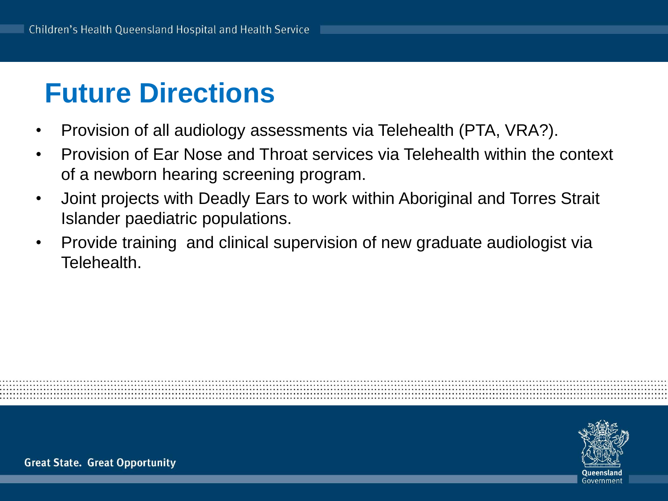# **Future Directions**

- Provision of all audiology assessments via Telehealth (PTA, VRA?).
- Provision of Ear Nose and Throat services via Telehealth within the context of a newborn hearing screening program.
- Joint projects with Deadly Ears to work within Aboriginal and Torres Strait Islander paediatric populations.
- Provide training and clinical supervision of new graduate audiologist via Telehealth.